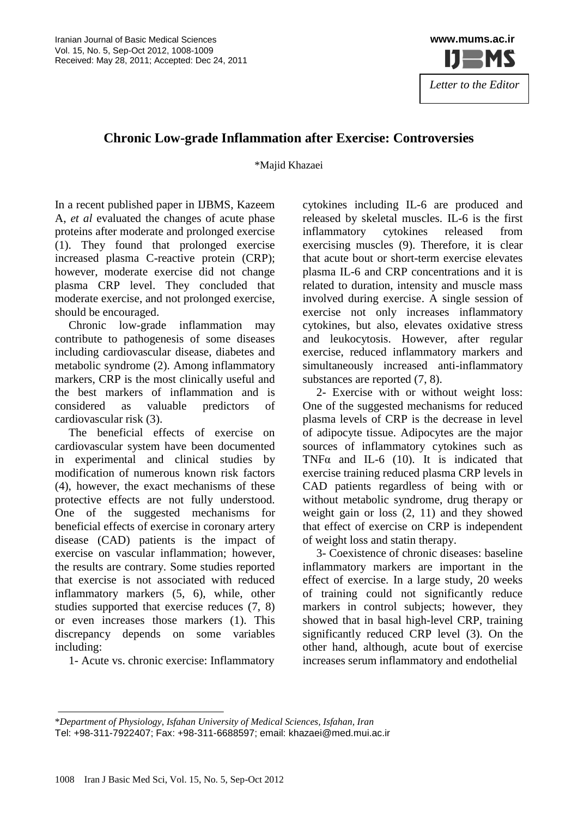

## **Chronic Low-grade Inflammation after Exercise: Controversies**

\*Majid Khazaei

In a recent published paper in IJBMS, Kazeem A, *et al* evaluated the changes of acute phase proteins after moderate and prolonged exercise (1). They found that prolonged exercise increased plasma C-reactive protein (CRP); however, moderate exercise did not change plasma CRP level. They concluded that moderate exercise, and not prolonged exercise, should be encouraged.

Chronic low-grade inflammation may contribute to pathogenesis of some diseases including cardiovascular disease, diabetes and metabolic syndrome (2). Among inflammatory markers, CRP is the most clinically useful and the best markers of inflammation and is considered as valuable predictors of cardiovascular risk (3).

The beneficial effects of exercise on cardiovascular system have been documented in experimental and clinical studies by modification of numerous known risk factors (4), however, the exact mechanisms of these protective effects are not fully understood. One of the suggested mechanisms for beneficial effects of exercise in coronary artery disease (CAD) patients is the impact of exercise on vascular inflammation; however, the results are contrary. Some studies reported that exercise is not associated with reduced inflammatory markers (5, 6), while, other studies supported that exercise reduces (7, 8) or even increases those markers (1). This discrepancy depends on some variables including:

1- Acute vs. chronic exercise: Inflammatory

cytokines including IL-6 are produced and released by skeletal muscles. IL-6 is the first inflammatory cytokines released from exercising muscles (9). Therefore, it is clear that acute bout or short-term exercise elevates plasma IL-6 and CRP concentrations and it is related to duration, intensity and muscle mass involved during exercise. A single session of exercise not only increases inflammatory cytokines, but also, elevates oxidative stress and leukocytosis. However, after regular exercise, reduced inflammatory markers and simultaneously increased anti-inflammatory substances are reported  $(7, 8)$ .

2- Exercise with or without weight loss: One of the suggested mechanisms for reduced plasma levels of CRP is the decrease in level of adipocyte tissue. Adipocytes are the major sources of inflammatory cytokines such as TNF $\alpha$  and IL-6 (10). It is indicated that exercise training reduced plasma CRP levels in CAD patients regardless of being with or without metabolic syndrome, drug therapy or weight gain or loss (2, 11) and they showed that effect of exercise on CRP is independent of weight loss and statin therapy.

3- Coexistence of chronic diseases: baseline inflammatory markers are important in the effect of exercise. In a large study, 20 weeks of training could not significantly reduce markers in control subjects; however, they showed that in basal high-level CRP, training significantly reduced CRP level (3). On the other hand, although, acute bout of exercise increases serum inflammatory and endothelial

<sup>\*</sup>*Department of Physiology, Isfahan University of Medical Sciences, Isfahan, Iran* Tel: +98-311-7922407; Fax: +98-311-6688597; email: [khazaei@med.mui.ac.ir](mailto:khazaei@med.mui.ac.ir)